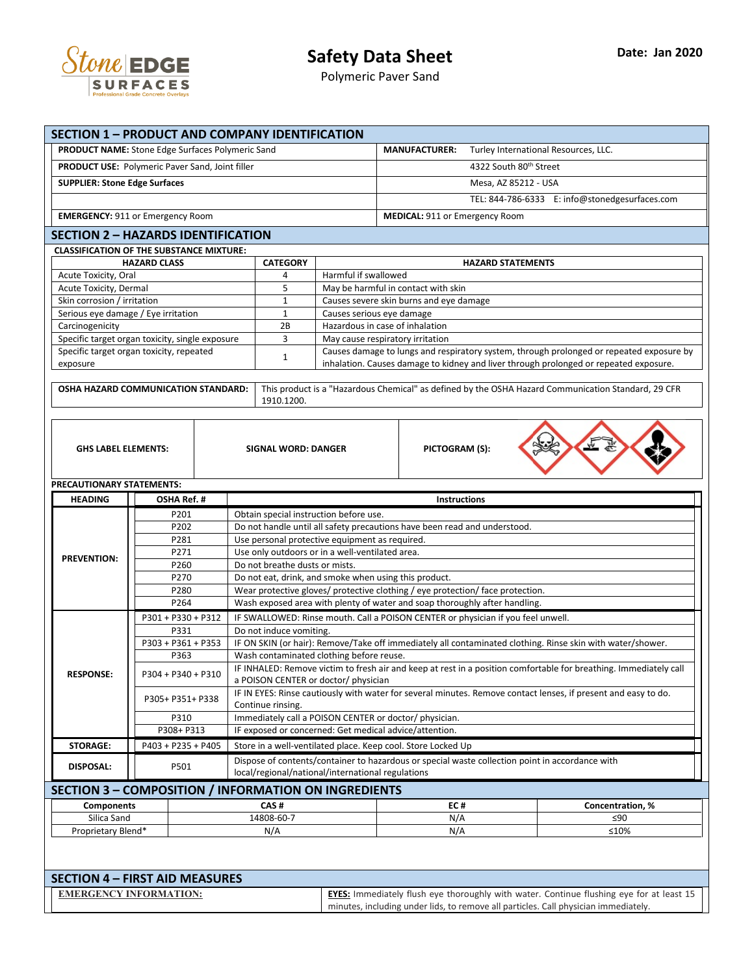

| <b>SECTION 1 - PRODUCT AND COMPANY IDENTIFICATION</b>                  |                     |  |                                                                                                                                         |                                                              |                                         |                                    |                                                                                                     |  |
|------------------------------------------------------------------------|---------------------|--|-----------------------------------------------------------------------------------------------------------------------------------------|--------------------------------------------------------------|-----------------------------------------|------------------------------------|-----------------------------------------------------------------------------------------------------|--|
| <b>PRODUCT NAME:</b> Stone Edge Surfaces Polymeric Sand                |                     |  |                                                                                                                                         |                                                              | <b>MANUFACTURER:</b>                    |                                    | Turley International Resources, LLC.                                                                |  |
| <b>PRODUCT USE: Polymeric Paver Sand, Joint filler</b>                 |                     |  |                                                                                                                                         |                                                              |                                         | 4322 South 80 <sup>th</sup> Street |                                                                                                     |  |
| <b>SUPPLIER: Stone Edge Surfaces</b>                                   |                     |  |                                                                                                                                         |                                                              |                                         |                                    |                                                                                                     |  |
|                                                                        |                     |  |                                                                                                                                         |                                                              |                                         | Mesa, AZ 85212 - USA               |                                                                                                     |  |
|                                                                        |                     |  |                                                                                                                                         |                                                              |                                         |                                    | TEL: 844-786-6333 E: info@stonedgesurfaces.com                                                      |  |
| <b>EMERGENCY: 911 or Emergency Room</b>                                |                     |  |                                                                                                                                         |                                                              | MEDICAL: 911 or Emergency Room          |                                    |                                                                                                     |  |
| <b>SECTION 2 - HAZARDS IDENTIFICATION</b>                              |                     |  |                                                                                                                                         |                                                              |                                         |                                    |                                                                                                     |  |
| <b>CLASSIFICATION OF THE SUBSTANCE MIXTURE:</b>                        |                     |  |                                                                                                                                         |                                                              |                                         |                                    |                                                                                                     |  |
|                                                                        | <b>HAZARD CLASS</b> |  | <b>CATEGORY</b>                                                                                                                         |                                                              |                                         | <b>HAZARD STATEMENTS</b>           |                                                                                                     |  |
| Acute Toxicity, Oral                                                   |                     |  | 4                                                                                                                                       | Harmful if swallowed                                         |                                         |                                    |                                                                                                     |  |
| Acute Toxicity, Dermal                                                 |                     |  | 5                                                                                                                                       |                                                              | May be harmful in contact with skin     |                                    |                                                                                                     |  |
| Skin corrosion / irritation                                            |                     |  | $\mathbf{1}$                                                                                                                            |                                                              | Causes severe skin burns and eye damage |                                    |                                                                                                     |  |
| Serious eye damage / Eye irritation<br>Carcinogenicity                 |                     |  | $\mathbf 1$<br>2B                                                                                                                       | Causes serious eye damage<br>Hazardous in case of inhalation |                                         |                                    |                                                                                                     |  |
| Specific target organ toxicity, single exposure                        |                     |  | 3                                                                                                                                       |                                                              | May cause respiratory irritation        |                                    |                                                                                                     |  |
| Specific target organ toxicity, repeated                               |                     |  |                                                                                                                                         |                                                              |                                         |                                    | Causes damage to lungs and respiratory system, through prolonged or repeated exposure by            |  |
| exposure                                                               |                     |  | $\mathbf{1}$                                                                                                                            |                                                              |                                         |                                    | inhalation. Causes damage to kidney and liver through prolonged or repeated exposure.               |  |
|                                                                        |                     |  |                                                                                                                                         |                                                              |                                         |                                    |                                                                                                     |  |
| OSHA HAZARD COMMUNICATION STANDARD:                                    |                     |  |                                                                                                                                         |                                                              |                                         |                                    | This product is a "Hazardous Chemical" as defined by the OSHA Hazard Communication Standard, 29 CFR |  |
|                                                                        |                     |  | 1910.1200.                                                                                                                              |                                                              |                                         |                                    |                                                                                                     |  |
|                                                                        |                     |  |                                                                                                                                         |                                                              |                                         |                                    |                                                                                                     |  |
|                                                                        |                     |  |                                                                                                                                         |                                                              |                                         |                                    |                                                                                                     |  |
| <b>GHS LABEL ELEMENTS:</b>                                             |                     |  | <b>SIGNAL WORD: DANGER</b>                                                                                                              |                                                              | PICTOGRAM (S):                          |                                    |                                                                                                     |  |
|                                                                        |                     |  |                                                                                                                                         |                                                              |                                         |                                    |                                                                                                     |  |
| PRECAUTIONARY STATEMENTS:                                              |                     |  |                                                                                                                                         |                                                              |                                         |                                    |                                                                                                     |  |
| <b>HEADING</b>                                                         | OSHA Ref.#          |  |                                                                                                                                         |                                                              | Instructions                            |                                    |                                                                                                     |  |
|                                                                        | P201                |  |                                                                                                                                         | Obtain special instruction before use.                       |                                         |                                    |                                                                                                     |  |
|                                                                        | P202                |  | Do not handle until all safety precautions have been read and understood.                                                               |                                                              |                                         |                                    |                                                                                                     |  |
|                                                                        | P281                |  | Use personal protective equipment as required.                                                                                          |                                                              |                                         |                                    |                                                                                                     |  |
| <b>PREVENTION:</b>                                                     | P271                |  |                                                                                                                                         | Use only outdoors or in a well-ventilated area.              |                                         |                                    |                                                                                                     |  |
|                                                                        | P260                |  | Do not breathe dusts or mists.                                                                                                          |                                                              |                                         |                                    |                                                                                                     |  |
|                                                                        | P270                |  | Do not eat, drink, and smoke when using this product.<br>Wear protective gloves/ protective clothing / eye protection/ face protection. |                                                              |                                         |                                    |                                                                                                     |  |
|                                                                        | P280<br>P264        |  |                                                                                                                                         |                                                              |                                         |                                    |                                                                                                     |  |
|                                                                        | P301 + P330 + P312  |  | Wash exposed area with plenty of water and soap thoroughly after handling.                                                              |                                                              |                                         |                                    |                                                                                                     |  |
|                                                                        | P331                |  | IF SWALLOWED: Rinse mouth. Call a POISON CENTER or physician if you feel unwell.<br>Do not induce vomiting.                             |                                                              |                                         |                                    |                                                                                                     |  |
|                                                                        | P303 + P361 + P353  |  | IF ON SKIN (or hair): Remove/Take off immediately all contaminated clothing. Rinse skin with water/shower.                              |                                                              |                                         |                                    |                                                                                                     |  |
|                                                                        | P363                |  | Wash contaminated clothing before reuse.                                                                                                |                                                              |                                         |                                    |                                                                                                     |  |
| <b>RESPONSE:</b>                                                       | P304 + P340 + P310  |  | IF INHALED: Remove victim to fresh air and keep at rest in a position comfortable for breathing. Immediately call                       |                                                              |                                         |                                    |                                                                                                     |  |
|                                                                        |                     |  | a POISON CENTER or doctor/ physician                                                                                                    |                                                              |                                         |                                    |                                                                                                     |  |
|                                                                        | P305+ P351+ P338    |  | IF IN EYES: Rinse cautiously with water for several minutes. Remove contact lenses, if present and easy to do.                          |                                                              |                                         |                                    |                                                                                                     |  |
|                                                                        | P310                |  | Continue rinsing.<br>Immediately call a POISON CENTER or doctor/ physician.                                                             |                                                              |                                         |                                    |                                                                                                     |  |
|                                                                        | P308+ P313          |  | IF exposed or concerned: Get medical advice/attention.                                                                                  |                                                              |                                         |                                    |                                                                                                     |  |
| <b>STORAGE:</b>                                                        | P403 + P235 + P405  |  | Store in a well-ventilated place. Keep cool. Store Locked Up                                                                            |                                                              |                                         |                                    |                                                                                                     |  |
|                                                                        |                     |  |                                                                                                                                         |                                                              |                                         |                                    | Dispose of contents/container to hazardous or special waste collection point in accordance with     |  |
| <b>DISPOSAL:</b>                                                       | P501                |  |                                                                                                                                         | local/regional/national/international regulations            |                                         |                                    |                                                                                                     |  |
| <b>SECTION 3 - COMPOSITION / INFORMATION ON INGREDIENTS</b>            |                     |  |                                                                                                                                         |                                                              |                                         |                                    |                                                                                                     |  |
| <b>Components</b>                                                      |                     |  | CAS#                                                                                                                                    |                                                              | EC#                                     |                                    | Concentration, %                                                                                    |  |
| Silica Sand                                                            |                     |  | 14808-60-7                                                                                                                              |                                                              | N/A                                     |                                    | ≤90                                                                                                 |  |
| Proprietary Blend*                                                     |                     |  | N/A                                                                                                                                     |                                                              | N/A                                     |                                    | ≤10%                                                                                                |  |
|                                                                        |                     |  |                                                                                                                                         |                                                              |                                         |                                    |                                                                                                     |  |
|                                                                        |                     |  |                                                                                                                                         |                                                              |                                         |                                    |                                                                                                     |  |
|                                                                        |                     |  |                                                                                                                                         |                                                              |                                         |                                    |                                                                                                     |  |
|                                                                        |                     |  |                                                                                                                                         |                                                              |                                         |                                    |                                                                                                     |  |
| <b>SECTION 4 - FIRST AID MEASURES</b><br><b>EMERGENCY INFORMATION:</b> |                     |  |                                                                                                                                         |                                                              |                                         |                                    | EYES: Immediately flush eye thoroughly with water. Continue flushing eye for at least 15            |  |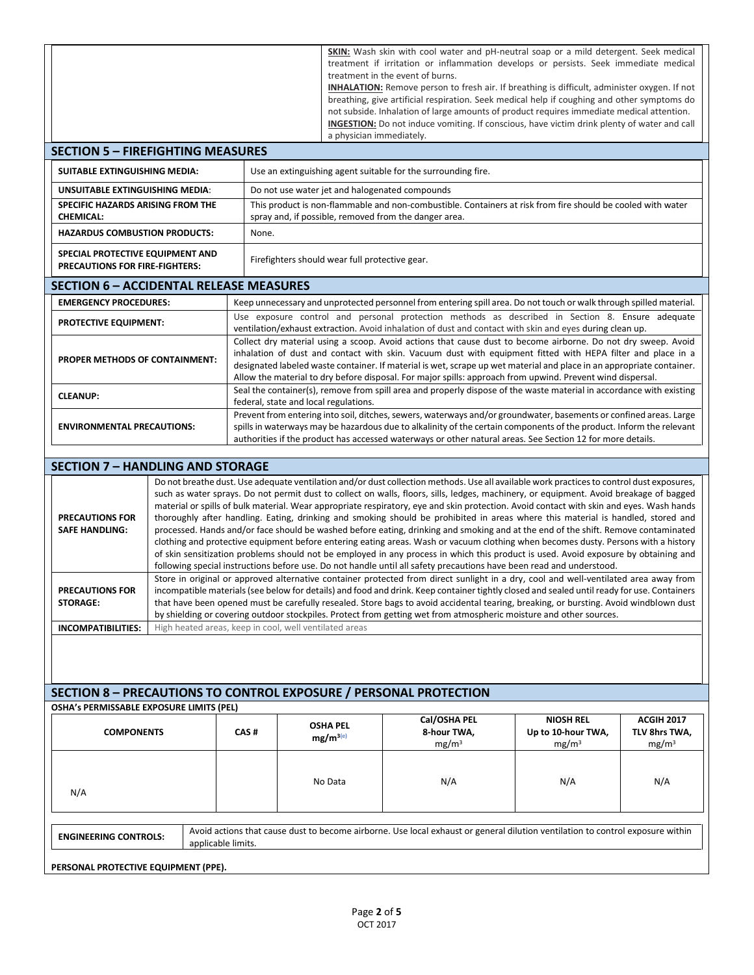|                                                                           |                                                        |                                                                                                                                                                                                                                                                                    |                                                                                                                                                                                                                                                                        |                                                                                                                         | <b>SKIN:</b> Wash skin with cool water and pH-neutral soap or a mild detergent. Seek medical<br>treatment if irritation or inflammation develops or persists. Seek immediate medical<br>treatment in the event of burns.<br><b>INHALATION:</b> Remove person to fresh air. If breathing is difficult, administer oxygen. If not<br>breathing, give artificial respiration. Seek medical help if coughing and other symptoms do<br>not subside. Inhalation of large amounts of product requires immediate medical attention. |                                        |                                    |  |  |
|---------------------------------------------------------------------------|--------------------------------------------------------|------------------------------------------------------------------------------------------------------------------------------------------------------------------------------------------------------------------------------------------------------------------------------------|------------------------------------------------------------------------------------------------------------------------------------------------------------------------------------------------------------------------------------------------------------------------|-------------------------------------------------------------------------------------------------------------------------|-----------------------------------------------------------------------------------------------------------------------------------------------------------------------------------------------------------------------------------------------------------------------------------------------------------------------------------------------------------------------------------------------------------------------------------------------------------------------------------------------------------------------------|----------------------------------------|------------------------------------|--|--|
|                                                                           |                                                        |                                                                                                                                                                                                                                                                                    |                                                                                                                                                                                                                                                                        | INGESTION: Do not induce vomiting. If conscious, have victim drink plenty of water and call<br>a physician immediately. |                                                                                                                                                                                                                                                                                                                                                                                                                                                                                                                             |                                        |                                    |  |  |
| <b>SECTION 5 - FIREFIGHTING MEASURES</b>                                  |                                                        |                                                                                                                                                                                                                                                                                    |                                                                                                                                                                                                                                                                        |                                                                                                                         |                                                                                                                                                                                                                                                                                                                                                                                                                                                                                                                             |                                        |                                    |  |  |
| <b>SUITABLE EXTINGUISHING MEDIA:</b>                                      |                                                        |                                                                                                                                                                                                                                                                                    |                                                                                                                                                                                                                                                                        |                                                                                                                         | Use an extinguishing agent suitable for the surrounding fire.                                                                                                                                                                                                                                                                                                                                                                                                                                                               |                                        |                                    |  |  |
| UNSUITABLE EXTINGUISHING MEDIA:                                           |                                                        |                                                                                                                                                                                                                                                                                    |                                                                                                                                                                                                                                                                        |                                                                                                                         | Do not use water jet and halogenated compounds                                                                                                                                                                                                                                                                                                                                                                                                                                                                              |                                        |                                    |  |  |
| SPECIFIC HAZARDS ARISING FROM THE<br><b>CHEMICAL:</b>                     |                                                        |                                                                                                                                                                                                                                                                                    |                                                                                                                                                                                                                                                                        |                                                                                                                         | This product is non-flammable and non-combustible. Containers at risk from fire should be cooled with water<br>spray and, if possible, removed from the danger area.                                                                                                                                                                                                                                                                                                                                                        |                                        |                                    |  |  |
| <b>HAZARDUS COMBUSTION PRODUCTS:</b>                                      |                                                        | None.                                                                                                                                                                                                                                                                              |                                                                                                                                                                                                                                                                        |                                                                                                                         |                                                                                                                                                                                                                                                                                                                                                                                                                                                                                                                             |                                        |                                    |  |  |
| SPECIAL PROTECTIVE EQUIPMENT AND<br><b>PRECAUTIONS FOR FIRE-FIGHTERS:</b> |                                                        |                                                                                                                                                                                                                                                                                    |                                                                                                                                                                                                                                                                        | Firefighters should wear full protective gear.                                                                          |                                                                                                                                                                                                                                                                                                                                                                                                                                                                                                                             |                                        |                                    |  |  |
| <b>SECTION 6 - ACCIDENTAL RELEASE MEASURES</b>                            |                                                        |                                                                                                                                                                                                                                                                                    |                                                                                                                                                                                                                                                                        |                                                                                                                         |                                                                                                                                                                                                                                                                                                                                                                                                                                                                                                                             |                                        |                                    |  |  |
| <b>EMERGENCY PROCEDURES:</b>                                              |                                                        |                                                                                                                                                                                                                                                                                    |                                                                                                                                                                                                                                                                        |                                                                                                                         | Keep unnecessary and unprotected personnel from entering spill area. Do not touch or walk through spilled material.                                                                                                                                                                                                                                                                                                                                                                                                         |                                        |                                    |  |  |
| <b>PROTECTIVE EQUIPMENT:</b>                                              |                                                        |                                                                                                                                                                                                                                                                                    |                                                                                                                                                                                                                                                                        |                                                                                                                         | Use exposure control and personal protection methods as described in Section 8. Ensure adequate<br>ventilation/exhaust extraction. Avoid inhalation of dust and contact with skin and eyes during clean up.                                                                                                                                                                                                                                                                                                                 |                                        |                                    |  |  |
|                                                                           |                                                        |                                                                                                                                                                                                                                                                                    |                                                                                                                                                                                                                                                                        |                                                                                                                         | Collect dry material using a scoop. Avoid actions that cause dust to become airborne. Do not dry sweep. Avoid                                                                                                                                                                                                                                                                                                                                                                                                               |                                        |                                    |  |  |
| PROPER METHODS OF CONTAINMENT:                                            |                                                        |                                                                                                                                                                                                                                                                                    |                                                                                                                                                                                                                                                                        |                                                                                                                         | inhalation of dust and contact with skin. Vacuum dust with equipment fitted with HEPA filter and place in a<br>designated labeled waste container. If material is wet, scrape up wet material and place in an appropriate container.                                                                                                                                                                                                                                                                                        |                                        |                                    |  |  |
|                                                                           |                                                        |                                                                                                                                                                                                                                                                                    |                                                                                                                                                                                                                                                                        |                                                                                                                         | Allow the material to dry before disposal. For major spills: approach from upwind. Prevent wind dispersal.                                                                                                                                                                                                                                                                                                                                                                                                                  |                                        |                                    |  |  |
| <b>CLEANUP:</b>                                                           |                                                        |                                                                                                                                                                                                                                                                                    |                                                                                                                                                                                                                                                                        |                                                                                                                         | Seal the container(s), remove from spill area and properly dispose of the waste material in accordance with existing                                                                                                                                                                                                                                                                                                                                                                                                        |                                        |                                    |  |  |
|                                                                           |                                                        |                                                                                                                                                                                                                                                                                    | federal, state and local regulations.<br>Prevent from entering into soil, ditches, sewers, waterways and/or groundwater, basements or confined areas. Large                                                                                                            |                                                                                                                         |                                                                                                                                                                                                                                                                                                                                                                                                                                                                                                                             |                                        |                                    |  |  |
| <b>ENVIRONMENTAL PRECAUTIONS:</b>                                         |                                                        |                                                                                                                                                                                                                                                                                    | spills in waterways may be hazardous due to alkalinity of the certain components of the product. Inform the relevant<br>authorities if the product has accessed waterways or other natural areas. See Section 12 for more details.                                     |                                                                                                                         |                                                                                                                                                                                                                                                                                                                                                                                                                                                                                                                             |                                        |                                    |  |  |
|                                                                           |                                                        |                                                                                                                                                                                                                                                                                    |                                                                                                                                                                                                                                                                        |                                                                                                                         |                                                                                                                                                                                                                                                                                                                                                                                                                                                                                                                             |                                        |                                    |  |  |
| <b>SECTION 7 - HANDLING AND STORAGE</b>                                   |                                                        |                                                                                                                                                                                                                                                                                    |                                                                                                                                                                                                                                                                        |                                                                                                                         |                                                                                                                                                                                                                                                                                                                                                                                                                                                                                                                             |                                        |                                    |  |  |
|                                                                           |                                                        |                                                                                                                                                                                                                                                                                    |                                                                                                                                                                                                                                                                        |                                                                                                                         | Do not breathe dust. Use adequate ventilation and/or dust collection methods. Use all available work practices to control dust exposures,                                                                                                                                                                                                                                                                                                                                                                                   |                                        |                                    |  |  |
|                                                                           |                                                        | such as water sprays. Do not permit dust to collect on walls, floors, sills, ledges, machinery, or equipment. Avoid breakage of bagged<br>material or spills of bulk material. Wear appropriate respiratory, eye and skin protection. Avoid contact with skin and eyes. Wash hands |                                                                                                                                                                                                                                                                        |                                                                                                                         |                                                                                                                                                                                                                                                                                                                                                                                                                                                                                                                             |                                        |                                    |  |  |
| <b>PRECAUTIONS FOR</b><br><b>SAFE HANDLING:</b>                           |                                                        |                                                                                                                                                                                                                                                                                    | thoroughly after handling. Eating, drinking and smoking should be prohibited in areas where this material is handled, stored and<br>processed. Hands and/or face should be washed before eating, drinking and smoking and at the end of the shift. Remove contaminated |                                                                                                                         |                                                                                                                                                                                                                                                                                                                                                                                                                                                                                                                             |                                        |                                    |  |  |
|                                                                           |                                                        |                                                                                                                                                                                                                                                                                    | clothing and protective equipment before entering eating areas. Wash or vacuum clothing when becomes dusty. Persons with a history                                                                                                                                     |                                                                                                                         |                                                                                                                                                                                                                                                                                                                                                                                                                                                                                                                             |                                        |                                    |  |  |
|                                                                           |                                                        |                                                                                                                                                                                                                                                                                    | of skin sensitization problems should not be employed in any process in which this product is used. Avoid exposure by obtaining and<br>following special instructions before use. Do not handle until all safety precautions have been read and understood.            |                                                                                                                         |                                                                                                                                                                                                                                                                                                                                                                                                                                                                                                                             |                                        |                                    |  |  |
|                                                                           |                                                        |                                                                                                                                                                                                                                                                                    |                                                                                                                                                                                                                                                                        |                                                                                                                         | Store in original or approved alternative container protected from direct sunlight in a dry, cool and well-ventilated area away from                                                                                                                                                                                                                                                                                                                                                                                        |                                        |                                    |  |  |
| <b>PRECAUTIONS FOR</b><br><b>STORAGE:</b>                                 |                                                        |                                                                                                                                                                                                                                                                                    |                                                                                                                                                                                                                                                                        |                                                                                                                         | incompatible materials (see below for details) and food and drink. Keep container tightly closed and sealed until ready for use. Containers<br>that have been opened must be carefully resealed. Store bags to avoid accidental tearing, breaking, or bursting. Avoid windblown dust                                                                                                                                                                                                                                        |                                        |                                    |  |  |
|                                                                           |                                                        |                                                                                                                                                                                                                                                                                    |                                                                                                                                                                                                                                                                        |                                                                                                                         | by shielding or covering outdoor stockpiles. Protect from getting wet from atmospheric moisture and other sources.                                                                                                                                                                                                                                                                                                                                                                                                          |                                        |                                    |  |  |
| <b>INCOMPATIBILITIES:</b>                                                 | High heated areas, keep in cool, well ventilated areas |                                                                                                                                                                                                                                                                                    |                                                                                                                                                                                                                                                                        |                                                                                                                         |                                                                                                                                                                                                                                                                                                                                                                                                                                                                                                                             |                                        |                                    |  |  |
|                                                                           |                                                        |                                                                                                                                                                                                                                                                                    |                                                                                                                                                                                                                                                                        |                                                                                                                         |                                                                                                                                                                                                                                                                                                                                                                                                                                                                                                                             |                                        |                                    |  |  |
|                                                                           |                                                        |                                                                                                                                                                                                                                                                                    |                                                                                                                                                                                                                                                                        |                                                                                                                         |                                                                                                                                                                                                                                                                                                                                                                                                                                                                                                                             |                                        |                                    |  |  |
|                                                                           |                                                        |                                                                                                                                                                                                                                                                                    |                                                                                                                                                                                                                                                                        |                                                                                                                         | <b>SECTION 8 - PRECAUTIONS TO CONTROL EXPOSURE / PERSONAL PROTECTION</b>                                                                                                                                                                                                                                                                                                                                                                                                                                                    |                                        |                                    |  |  |
| OSHA's PERMISSABLE EXPOSURE LIMITS (PEL)                                  |                                                        |                                                                                                                                                                                                                                                                                    |                                                                                                                                                                                                                                                                        |                                                                                                                         |                                                                                                                                                                                                                                                                                                                                                                                                                                                                                                                             |                                        |                                    |  |  |
| <b>COMPONENTS</b>                                                         |                                                        | CAS#                                                                                                                                                                                                                                                                               |                                                                                                                                                                                                                                                                        | <b>OSHA PEL</b>                                                                                                         | Cal/OSHA PEL<br>8-hour TWA,                                                                                                                                                                                                                                                                                                                                                                                                                                                                                                 | <b>NIOSH REL</b><br>Up to 10-hour TWA, | <b>ACGIH 2017</b><br>TLV 8hrs TWA, |  |  |
|                                                                           |                                                        |                                                                                                                                                                                                                                                                                    |                                                                                                                                                                                                                                                                        | $mg/m^{3(e)}$                                                                                                           | mg/m <sup>3</sup>                                                                                                                                                                                                                                                                                                                                                                                                                                                                                                           | mg/m <sup>3</sup>                      | mg/m <sup>3</sup>                  |  |  |
|                                                                           |                                                        |                                                                                                                                                                                                                                                                                    |                                                                                                                                                                                                                                                                        |                                                                                                                         |                                                                                                                                                                                                                                                                                                                                                                                                                                                                                                                             |                                        |                                    |  |  |
|                                                                           |                                                        |                                                                                                                                                                                                                                                                                    |                                                                                                                                                                                                                                                                        | No Data                                                                                                                 | N/A                                                                                                                                                                                                                                                                                                                                                                                                                                                                                                                         | N/A                                    | N/A                                |  |  |
| N/A                                                                       |                                                        |                                                                                                                                                                                                                                                                                    |                                                                                                                                                                                                                                                                        |                                                                                                                         |                                                                                                                                                                                                                                                                                                                                                                                                                                                                                                                             |                                        |                                    |  |  |
|                                                                           |                                                        |                                                                                                                                                                                                                                                                                    |                                                                                                                                                                                                                                                                        |                                                                                                                         |                                                                                                                                                                                                                                                                                                                                                                                                                                                                                                                             |                                        |                                    |  |  |
| <b>ENGINEERING CONTROLS:</b>                                              | applicable limits.                                     |                                                                                                                                                                                                                                                                                    |                                                                                                                                                                                                                                                                        |                                                                                                                         | Avoid actions that cause dust to become airborne. Use local exhaust or general dilution ventilation to control exposure within                                                                                                                                                                                                                                                                                                                                                                                              |                                        |                                    |  |  |
| PERSONAL PROTECTIVE EQUIPMENT (PPE).                                      |                                                        |                                                                                                                                                                                                                                                                                    |                                                                                                                                                                                                                                                                        |                                                                                                                         |                                                                                                                                                                                                                                                                                                                                                                                                                                                                                                                             |                                        |                                    |  |  |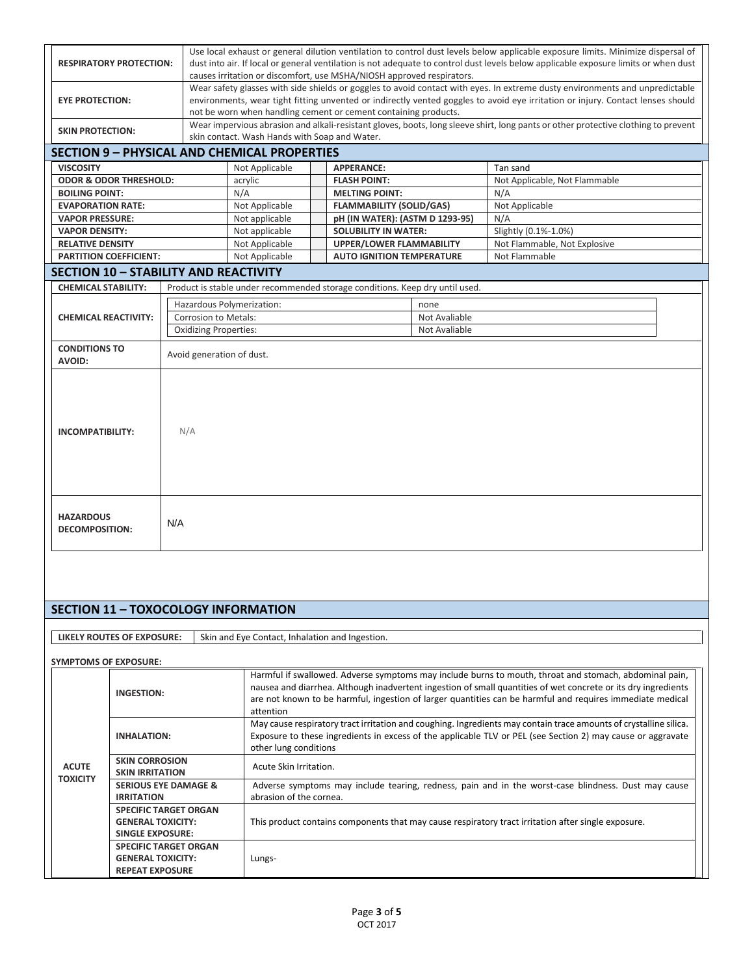|                                                     |                                                                                                                | Use local exhaust or general dilution ventilation to control dust levels below applicable exposure limits. Minimize dispersal of    |  |                                                                              |               |                                                                                                                                    |  |  |
|-----------------------------------------------------|----------------------------------------------------------------------------------------------------------------|-------------------------------------------------------------------------------------------------------------------------------------|--|------------------------------------------------------------------------------|---------------|------------------------------------------------------------------------------------------------------------------------------------|--|--|
| <b>RESPIRATORY PROTECTION:</b>                      |                                                                                                                | dust into air. If local or general ventilation is not adequate to control dust levels below applicable exposure limits or when dust |  |                                                                              |               |                                                                                                                                    |  |  |
|                                                     |                                                                                                                | causes irritation or discomfort, use MSHA/NIOSH approved respirators.                                                               |  |                                                                              |               |                                                                                                                                    |  |  |
|                                                     |                                                                                                                |                                                                                                                                     |  |                                                                              |               | Wear safety glasses with side shields or goggles to avoid contact with eyes. In extreme dusty environments and unpredictable       |  |  |
| <b>EYE PROTECTION:</b>                              |                                                                                                                |                                                                                                                                     |  |                                                                              |               | environments, wear tight fitting unvented or indirectly vented goggles to avoid eye irritation or injury. Contact lenses should    |  |  |
|                                                     |                                                                                                                |                                                                                                                                     |  | not be worn when handling cement or cement containing products.              |               |                                                                                                                                    |  |  |
| <b>SKIN PROTECTION:</b>                             |                                                                                                                |                                                                                                                                     |  |                                                                              |               | Wear impervious abrasion and alkali-resistant gloves, boots, long sleeve shirt, long pants or other protective clothing to prevent |  |  |
|                                                     |                                                                                                                | skin contact. Wash Hands with Soap and Water.                                                                                       |  |                                                                              |               |                                                                                                                                    |  |  |
| <b>SECTION 9 - PHYSICAL AND CHEMICAL PROPERTIES</b> |                                                                                                                |                                                                                                                                     |  |                                                                              |               |                                                                                                                                    |  |  |
| <b>VISCOSITY</b>                                    |                                                                                                                | Not Applicable                                                                                                                      |  | <b>APPERANCE:</b>                                                            |               | Tan sand                                                                                                                           |  |  |
| <b>ODOR &amp; ODOR THRESHOLD:</b>                   |                                                                                                                | acrylic                                                                                                                             |  | <b>FLASH POINT:</b>                                                          |               | Not Applicable, Not Flammable                                                                                                      |  |  |
| <b>BOILING POINT:</b>                               |                                                                                                                | N/A                                                                                                                                 |  | <b>MELTING POINT:</b>                                                        |               | N/A                                                                                                                                |  |  |
| <b>EVAPORATION RATE:</b>                            |                                                                                                                | Not Applicable                                                                                                                      |  | <b>FLAMMABILITY (SOLID/GAS)</b>                                              |               | Not Applicable                                                                                                                     |  |  |
| <b>VAPOR PRESSURE:</b>                              |                                                                                                                | Not applicable                                                                                                                      |  | pH (IN WATER): (ASTM D 1293-95)                                              |               | N/A                                                                                                                                |  |  |
| <b>VAPOR DENSITY:</b>                               |                                                                                                                | Not applicable                                                                                                                      |  | <b>SOLUBILITY IN WATER:</b>                                                  |               | Slightly (0.1%-1.0%)                                                                                                               |  |  |
| <b>RELATIVE DENSITY</b>                             |                                                                                                                | Not Applicable                                                                                                                      |  | <b>UPPER/LOWER FLAMMABILITY</b>                                              |               | Not Flammable, Not Explosive                                                                                                       |  |  |
| <b>PARTITION COEFFICIENT:</b>                       |                                                                                                                | Not Applicable                                                                                                                      |  | <b>AUTO IGNITION TEMPERATURE</b>                                             |               | Not Flammable                                                                                                                      |  |  |
| <b>SECTION 10 - STABILITY AND REACTIVITY</b>        |                                                                                                                |                                                                                                                                     |  |                                                                              |               |                                                                                                                                    |  |  |
| <b>CHEMICAL STABILITY:</b>                          |                                                                                                                |                                                                                                                                     |  | Product is stable under recommended storage conditions. Keep dry until used. |               |                                                                                                                                    |  |  |
|                                                     |                                                                                                                |                                                                                                                                     |  |                                                                              | none          |                                                                                                                                    |  |  |
|                                                     |                                                                                                                | Hazardous Polymerization:                                                                                                           |  |                                                                              |               |                                                                                                                                    |  |  |
| <b>CHEMICAL REACTIVITY:</b>                         | Corrosion to Metals:                                                                                           |                                                                                                                                     |  |                                                                              | Not Avaliable |                                                                                                                                    |  |  |
|                                                     | <b>Oxidizing Properties:</b>                                                                                   |                                                                                                                                     |  |                                                                              | Not Avaliable |                                                                                                                                    |  |  |
| <b>CONDITIONS TO</b>                                | Avoid generation of dust.                                                                                      |                                                                                                                                     |  |                                                                              |               |                                                                                                                                    |  |  |
| <b>AVOID:</b>                                       |                                                                                                                |                                                                                                                                     |  |                                                                              |               |                                                                                                                                    |  |  |
|                                                     |                                                                                                                |                                                                                                                                     |  |                                                                              |               |                                                                                                                                    |  |  |
|                                                     |                                                                                                                |                                                                                                                                     |  |                                                                              |               |                                                                                                                                    |  |  |
|                                                     |                                                                                                                |                                                                                                                                     |  |                                                                              |               |                                                                                                                                    |  |  |
|                                                     |                                                                                                                |                                                                                                                                     |  |                                                                              |               |                                                                                                                                    |  |  |
| <b>INCOMPATIBILITY:</b>                             | N/A                                                                                                            |                                                                                                                                     |  |                                                                              |               |                                                                                                                                    |  |  |
|                                                     |                                                                                                                |                                                                                                                                     |  |                                                                              |               |                                                                                                                                    |  |  |
|                                                     |                                                                                                                |                                                                                                                                     |  |                                                                              |               |                                                                                                                                    |  |  |
|                                                     |                                                                                                                |                                                                                                                                     |  |                                                                              |               |                                                                                                                                    |  |  |
|                                                     |                                                                                                                |                                                                                                                                     |  |                                                                              |               |                                                                                                                                    |  |  |
|                                                     |                                                                                                                |                                                                                                                                     |  |                                                                              |               |                                                                                                                                    |  |  |
|                                                     |                                                                                                                |                                                                                                                                     |  |                                                                              |               |                                                                                                                                    |  |  |
| <b>HAZARDOUS</b>                                    | N/A                                                                                                            |                                                                                                                                     |  |                                                                              |               |                                                                                                                                    |  |  |
| <b>DECOMPOSITION:</b>                               |                                                                                                                |                                                                                                                                     |  |                                                                              |               |                                                                                                                                    |  |  |
|                                                     |                                                                                                                |                                                                                                                                     |  |                                                                              |               |                                                                                                                                    |  |  |
|                                                     |                                                                                                                |                                                                                                                                     |  |                                                                              |               |                                                                                                                                    |  |  |
|                                                     |                                                                                                                |                                                                                                                                     |  |                                                                              |               |                                                                                                                                    |  |  |
|                                                     |                                                                                                                |                                                                                                                                     |  |                                                                              |               |                                                                                                                                    |  |  |
|                                                     |                                                                                                                |                                                                                                                                     |  |                                                                              |               |                                                                                                                                    |  |  |
| <b>SECTION 11 - TOXOCOLOGY INFORMATION</b>          |                                                                                                                |                                                                                                                                     |  |                                                                              |               |                                                                                                                                    |  |  |
|                                                     |                                                                                                                |                                                                                                                                     |  |                                                                              |               |                                                                                                                                    |  |  |
| LIKELY ROUTES OF EXPOSURE:                          |                                                                                                                | Skin and Eye Contact, Inhalation and Ingestion.                                                                                     |  |                                                                              |               |                                                                                                                                    |  |  |
|                                                     |                                                                                                                |                                                                                                                                     |  |                                                                              |               |                                                                                                                                    |  |  |
| <b>SYMPTOMS OF EXPOSURE:</b>                        |                                                                                                                |                                                                                                                                     |  |                                                                              |               |                                                                                                                                    |  |  |
|                                                     |                                                                                                                |                                                                                                                                     |  |                                                                              |               | Harmful if swallowed. Adverse symptoms may include burns to mouth, throat and stomach, abdominal pain,                             |  |  |
| <b>INICECTION</b>                                   | nausea and diarrhea. Although inadvertent ingestion of small quantities of wet concrete or its dry ingredients |                                                                                                                                     |  |                                                                              |               |                                                                                                                                    |  |  |

|                                 | <b>INGESTION:</b>                                                                   | nausea and diarrited. Although inadvertent ingestion of small quantities of wet concrete or its dry ingredients<br>are not known to be harmful, ingestion of larger quantities can be harmful and requires immediate medical<br>attention                 |
|---------------------------------|-------------------------------------------------------------------------------------|-----------------------------------------------------------------------------------------------------------------------------------------------------------------------------------------------------------------------------------------------------------|
|                                 | <b>INHALATION:</b>                                                                  | May cause respiratory tract irritation and coughing. Ingredients may contain trace amounts of crystalline silica.<br>Exposure to these ingredients in excess of the applicable TLV or PEL (see Section 2) may cause or aggravate<br>other lung conditions |
| <b>ACUTE</b><br><b>TOXICITY</b> | <b>SKIN CORROSION</b><br><b>SKIN IRRITATION</b>                                     | Acute Skin Irritation.                                                                                                                                                                                                                                    |
|                                 | <b>SERIOUS EYE DAMAGE &amp;</b>                                                     | Adverse symptoms may include tearing, redness, pain and in the worst-case blindness. Dust may cause                                                                                                                                                       |
|                                 | <b>IRRITATION</b>                                                                   | abrasion of the cornea.                                                                                                                                                                                                                                   |
|                                 | <b>SPECIFIC TARGET ORGAN</b><br><b>GENERAL TOXICITY:</b><br><b>SINGLE EXPOSURE:</b> | This product contains components that may cause respiratory tract irritation after single exposure.                                                                                                                                                       |
|                                 | <b>SPECIFIC TARGET ORGAN</b>                                                        |                                                                                                                                                                                                                                                           |
|                                 | <b>GENERAL TOXICITY:</b>                                                            | Lungs-                                                                                                                                                                                                                                                    |
|                                 | <b>REPEAT EXPOSURE</b>                                                              |                                                                                                                                                                                                                                                           |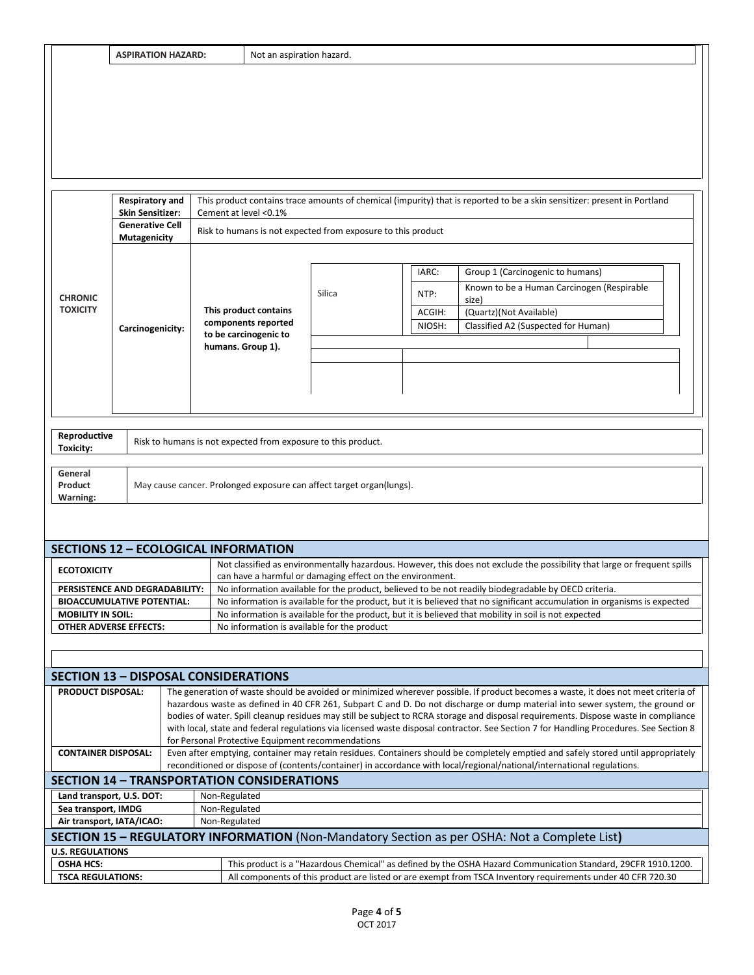|  |  | ASPIRATION HAZARD: |  |
|--|--|--------------------|--|
|  |  |                    |  |

|                                                                                                                                                                                                                                                                                           | <b>Respiratory and</b><br><b>Skin Sensitizer:</b>                                                                                                                                                                                                                                                                                                                                                                                                                                                                                                                                                                                     | Cement at level <0.1%                                                |                                                                                                                                                      |                  | This product contains trace amounts of chemical (impurity) that is reported to be a skin sensitizer: present in Portland  |  |  |  |  |
|-------------------------------------------------------------------------------------------------------------------------------------------------------------------------------------------------------------------------------------------------------------------------------------------|---------------------------------------------------------------------------------------------------------------------------------------------------------------------------------------------------------------------------------------------------------------------------------------------------------------------------------------------------------------------------------------------------------------------------------------------------------------------------------------------------------------------------------------------------------------------------------------------------------------------------------------|----------------------------------------------------------------------|------------------------------------------------------------------------------------------------------------------------------------------------------|------------------|---------------------------------------------------------------------------------------------------------------------------|--|--|--|--|
|                                                                                                                                                                                                                                                                                           | <b>Generative Cell</b><br><b>Mutagenicity</b>                                                                                                                                                                                                                                                                                                                                                                                                                                                                                                                                                                                         |                                                                      | Risk to humans is not expected from exposure to this product                                                                                         |                  |                                                                                                                           |  |  |  |  |
|                                                                                                                                                                                                                                                                                           |                                                                                                                                                                                                                                                                                                                                                                                                                                                                                                                                                                                                                                       |                                                                      |                                                                                                                                                      | IARC:            | Group 1 (Carcinogenic to humans)                                                                                          |  |  |  |  |
| <b>CHRONIC</b>                                                                                                                                                                                                                                                                            |                                                                                                                                                                                                                                                                                                                                                                                                                                                                                                                                                                                                                                       |                                                                      | Silica                                                                                                                                               | NTP:             | Known to be a Human Carcinogen (Respirable<br>size)                                                                       |  |  |  |  |
| <b>TOXICITY</b>                                                                                                                                                                                                                                                                           |                                                                                                                                                                                                                                                                                                                                                                                                                                                                                                                                                                                                                                       | This product contains<br>components reported                         |                                                                                                                                                      | ACGIH:<br>NIOSH: | (Quartz)(Not Available)<br>Classified A2 (Suspected for Human)                                                            |  |  |  |  |
|                                                                                                                                                                                                                                                                                           | Carcinogenicity:                                                                                                                                                                                                                                                                                                                                                                                                                                                                                                                                                                                                                      | to be carcinogenic to                                                |                                                                                                                                                      |                  |                                                                                                                           |  |  |  |  |
|                                                                                                                                                                                                                                                                                           |                                                                                                                                                                                                                                                                                                                                                                                                                                                                                                                                                                                                                                       | humans. Group 1).                                                    |                                                                                                                                                      |                  |                                                                                                                           |  |  |  |  |
|                                                                                                                                                                                                                                                                                           |                                                                                                                                                                                                                                                                                                                                                                                                                                                                                                                                                                                                                                       |                                                                      |                                                                                                                                                      |                  |                                                                                                                           |  |  |  |  |
|                                                                                                                                                                                                                                                                                           |                                                                                                                                                                                                                                                                                                                                                                                                                                                                                                                                                                                                                                       |                                                                      |                                                                                                                                                      |                  |                                                                                                                           |  |  |  |  |
|                                                                                                                                                                                                                                                                                           |                                                                                                                                                                                                                                                                                                                                                                                                                                                                                                                                                                                                                                       |                                                                      |                                                                                                                                                      |                  |                                                                                                                           |  |  |  |  |
| Reproductive<br><b>Toxicity:</b>                                                                                                                                                                                                                                                          |                                                                                                                                                                                                                                                                                                                                                                                                                                                                                                                                                                                                                                       | Risk to humans is not expected from exposure to this product.        |                                                                                                                                                      |                  |                                                                                                                           |  |  |  |  |
| General<br>Product<br>Warning:                                                                                                                                                                                                                                                            |                                                                                                                                                                                                                                                                                                                                                                                                                                                                                                                                                                                                                                       | May cause cancer. Prolonged exposure can affect target organ(lungs). |                                                                                                                                                      |                  |                                                                                                                           |  |  |  |  |
|                                                                                                                                                                                                                                                                                           |                                                                                                                                                                                                                                                                                                                                                                                                                                                                                                                                                                                                                                       | <b>SECTIONS 12 - ECOLOGICAL INFORMATION</b>                          |                                                                                                                                                      |                  |                                                                                                                           |  |  |  |  |
| <b>ECOTOXICITY</b>                                                                                                                                                                                                                                                                        |                                                                                                                                                                                                                                                                                                                                                                                                                                                                                                                                                                                                                                       | can have a harmful or damaging effect on the environment.            |                                                                                                                                                      |                  | Not classified as environmentally hazardous. However, this does not exclude the possibility that large or frequent spills |  |  |  |  |
|                                                                                                                                                                                                                                                                                           | PERSISTENCE AND DEGRADABILITY:                                                                                                                                                                                                                                                                                                                                                                                                                                                                                                                                                                                                        |                                                                      |                                                                                                                                                      |                  | No information available for the product, believed to be not readily biodegradable by OECD criteria.                      |  |  |  |  |
| <b>MOBILITY IN SOIL:</b>                                                                                                                                                                                                                                                                  | <b>BIOACCUMULATIVE POTENTIAL:</b>                                                                                                                                                                                                                                                                                                                                                                                                                                                                                                                                                                                                     |                                                                      |                                                                                                                                                      |                  | No information is available for the product, but it is believed that no significant accumulation in organisms is expected |  |  |  |  |
|                                                                                                                                                                                                                                                                                           | OTHER ADVERSE EFFECTS:                                                                                                                                                                                                                                                                                                                                                                                                                                                                                                                                                                                                                |                                                                      | No information is available for the product, but it is believed that mobility in soil is not expected<br>No information is available for the product |                  |                                                                                                                           |  |  |  |  |
|                                                                                                                                                                                                                                                                                           |                                                                                                                                                                                                                                                                                                                                                                                                                                                                                                                                                                                                                                       |                                                                      |                                                                                                                                                      |                  |                                                                                                                           |  |  |  |  |
|                                                                                                                                                                                                                                                                                           |                                                                                                                                                                                                                                                                                                                                                                                                                                                                                                                                                                                                                                       |                                                                      |                                                                                                                                                      |                  |                                                                                                                           |  |  |  |  |
|                                                                                                                                                                                                                                                                                           |                                                                                                                                                                                                                                                                                                                                                                                                                                                                                                                                                                                                                                       | <b>SECTION 13 - DISPOSAL CONSIDERATIONS</b>                          |                                                                                                                                                      |                  |                                                                                                                           |  |  |  |  |
|                                                                                                                                                                                                                                                                                           | The generation of waste should be avoided or minimized wherever possible. If product becomes a waste, it does not meet criteria of<br><b>PRODUCT DISPOSAL:</b><br>hazardous waste as defined in 40 CFR 261, Subpart C and D. Do not discharge or dump material into sewer system, the ground or<br>bodies of water. Spill cleanup residues may still be subject to RCRA storage and disposal requirements. Dispose waste in compliance<br>with local, state and federal regulations via licensed waste disposal contractor. See Section 7 for Handling Procedures. See Section 8<br>for Personal Protective Equipment recommendations |                                                                      |                                                                                                                                                      |                  |                                                                                                                           |  |  |  |  |
| Even after emptying, container may retain residues. Containers should be completely emptied and safely stored until appropriately<br><b>CONTAINER DISPOSAL:</b><br>reconditioned or dispose of (contents/container) in accordance with local/regional/national/international regulations. |                                                                                                                                                                                                                                                                                                                                                                                                                                                                                                                                                                                                                                       |                                                                      |                                                                                                                                                      |                  |                                                                                                                           |  |  |  |  |
|                                                                                                                                                                                                                                                                                           |                                                                                                                                                                                                                                                                                                                                                                                                                                                                                                                                                                                                                                       | <b>SECTION 14 - TRANSPORTATION CONSIDERATIONS</b>                    |                                                                                                                                                      |                  |                                                                                                                           |  |  |  |  |
| Land transport, U.S. DOT:                                                                                                                                                                                                                                                                 |                                                                                                                                                                                                                                                                                                                                                                                                                                                                                                                                                                                                                                       | Non-Regulated                                                        |                                                                                                                                                      |                  |                                                                                                                           |  |  |  |  |
| Sea transport, IMDG<br>Air transport, IATA/ICAO:                                                                                                                                                                                                                                          |                                                                                                                                                                                                                                                                                                                                                                                                                                                                                                                                                                                                                                       | Non-Regulated<br>Non-Regulated                                       |                                                                                                                                                      |                  |                                                                                                                           |  |  |  |  |
|                                                                                                                                                                                                                                                                                           |                                                                                                                                                                                                                                                                                                                                                                                                                                                                                                                                                                                                                                       |                                                                      |                                                                                                                                                      |                  | SECTION 15 - REGULATORY INFORMATION (Non-Mandatory Section as per OSHA: Not a Complete List)                              |  |  |  |  |
| <b>U.S. REGULATIONS</b>                                                                                                                                                                                                                                                                   |                                                                                                                                                                                                                                                                                                                                                                                                                                                                                                                                                                                                                                       |                                                                      |                                                                                                                                                      |                  |                                                                                                                           |  |  |  |  |
| <b>OSHA HCS:</b>                                                                                                                                                                                                                                                                          |                                                                                                                                                                                                                                                                                                                                                                                                                                                                                                                                                                                                                                       |                                                                      |                                                                                                                                                      |                  | This product is a "Hazardous Chemical" as defined by the OSHA Hazard Communication Standard, 29CFR 1910.1200.             |  |  |  |  |
|                                                                                                                                                                                                                                                                                           | <b>TSCA REGULATIONS:</b><br>All components of this product are listed or are exempt from TSCA Inventory requirements under 40 CFR 720.30                                                                                                                                                                                                                                                                                                                                                                                                                                                                                              |                                                                      |                                                                                                                                                      |                  |                                                                                                                           |  |  |  |  |